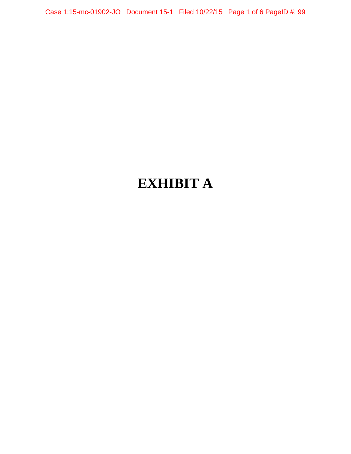Case 1:15-mc-01902-JO Document 15-1 Filed 10/22/15 Page 1 of 6 PageID #: 99

# **EXHIBIT A**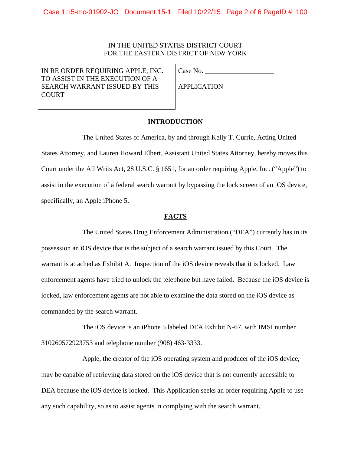## IN THE UNITED STATES DISTRICT COURT FOR THE EASTERN DISTRICT OF NEW YORK

IN RE ORDER REQUIRING APPLE, INC. TO ASSIST IN THE EXECUTION OF A SEARCH WARRANT ISSUED BY THIS **COURT** 

Case No. \_\_\_\_\_\_\_\_\_\_\_\_\_\_\_\_\_\_\_\_

APPLICATION

# **INTRODUCTION**

The United States of America, by and through Kelly T. Currie, Acting United States Attorney, and Lauren Howard Elbert, Assistant United States Attorney, hereby moves this Court under the All Writs Act, 28 U.S.C. § 1651, for an order requiring Apple, Inc. ("Apple") to assist in the execution of a federal search warrant by bypassing the lock screen of an iOS device, specifically, an Apple iPhone 5.

#### **FACTS**

The United States Drug Enforcement Administration ("DEA") currently has in its possession an iOS device that is the subject of a search warrant issued by this Court. The warrant is attached as Exhibit A. Inspection of the iOS device reveals that it is locked. Law enforcement agents have tried to unlock the telephone but have failed. Because the iOS device is locked, law enforcement agents are not able to examine the data stored on the iOS device as commanded by the search warrant.

The iOS device is an iPhone 5 labeled DEA Exhibit N-67, with IMSI number 310260572923753 and telephone number (908) 463-3333.

Apple, the creator of the iOS operating system and producer of the iOS device, may be capable of retrieving data stored on the iOS device that is not currently accessible to DEA because the iOS device is locked. This Application seeks an order requiring Apple to use any such capability, so as to assist agents in complying with the search warrant.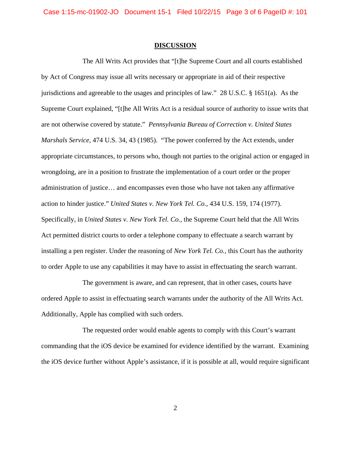Case 1:15-mc-01902-JO Document 15-1 Filed 10/22/15 Page 3 of 6 PageID #: 101

#### **DISCUSSION**

The All Writs Act provides that "[t]he Supreme Court and all courts established by Act of Congress may issue all writs necessary or appropriate in aid of their respective jurisdictions and agreeable to the usages and principles of law." 28 U.S.C. § 1651(a). As the Supreme Court explained, "[t]he All Writs Act is a residual source of authority to issue writs that are not otherwise covered by statute." *Pennsylvania Bureau of Correction v. United States Marshals Service,* 474 U.S. 34, 43 (1985). "The power conferred by the Act extends, under appropriate circumstances, to persons who, though not parties to the original action or engaged in wrongdoing, are in a position to frustrate the implementation of a court order or the proper administration of justice… and encompasses even those who have not taken any affirmative action to hinder justice." *United States v. New York Tel. Co.,* 434 U.S. 159, 174 (1977). Specifically, in *United States v. New York Tel. Co.,* the Supreme Court held that the All Writs Act permitted district courts to order a telephone company to effectuate a search warrant by installing a pen register. Under the reasoning of *New York Tel. Co.*, this Court has the authority to order Apple to use any capabilities it may have to assist in effectuating the search warrant.

The government is aware, and can represent, that in other cases, courts have ordered Apple to assist in effectuating search warrants under the authority of the All Writs Act. Additionally, Apple has complied with such orders.

The requested order would enable agents to comply with this Court's warrant commanding that the iOS device be examined for evidence identified by the warrant. Examining the iOS device further without Apple's assistance, if it is possible at all, would require significant

2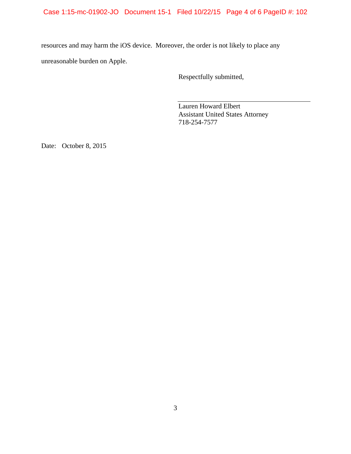# Case 1:15-mc-01902-JO Document 15-1 Filed 10/22/15 Page 4 of 6 PageID #: 102

resources and may harm the iOS device. Moreover, the order is not likely to place any unreasonable burden on Apple.

Respectfully submitted,

Lauren Howard Elbert Assistant United States Attorney 718-254-7577

Date: October 8, 2015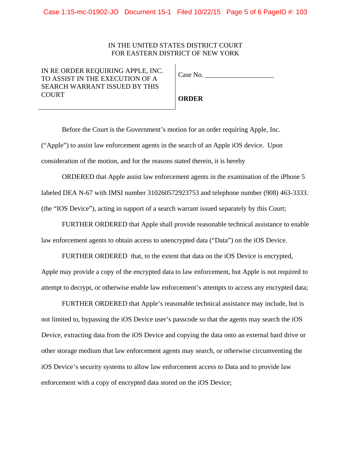## IN THE UNITED STATES DISTRICT COURT FOR EASTERN DISTRICT OF NEW YORK

IN RE ORDER REQUIRING APPLE, INC. TO ASSIST IN THE EXECUTION OF A SEARCH WARRANT ISSUED BY THIS **COURT** 

**ORDER**

Before the Court is the Government's motion for an order requiring Apple, Inc. ("Apple") to assist law enforcement agents in the search of an Apple iOS device. Upon consideration of the motion, and for the reasons stated therein, it is hereby

ORDERED that Apple assist law enforcement agents in the examination of the iPhone 5 labeled DEA N-67 with IMSI number 310260572923753 and telephone number (908) 463-3333. (the "IOS Device"), acting in support of a search warrant issued separately by this Court;

FURTHER ORDERED that Apple shall provide reasonable technical assistance to enable law enforcement agents to obtain access to unencrypted data ("Data") on the iOS Device.

FURTHER ORDERED that, to the extent that data on the iOS Device is encrypted, Apple may provide a copy of the encrypted data to law enforcement, but Apple is not required to attempt to decrypt, or otherwise enable law enforcement's attempts to access any encrypted data;

FURTHER ORDERED that Apple's reasonable technical assistance may include, but is not limited to, bypassing the iOS Device user's passcode so that the agents may search the iOS Device, extracting data from the iOS Device and copying the data onto an external hard drive or other storage medium that law enforcement agents may search, or otherwise circumventing the iOS Device's security systems to allow law enforcement access to Data and to provide law enforcement with a copy of encrypted data stored on the iOS Device;